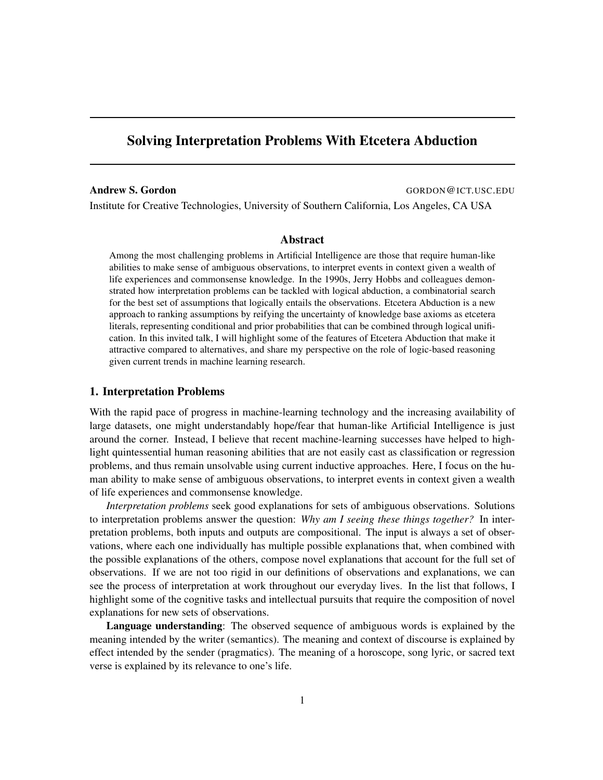# Solving Interpretation Problems With Etcetera Abduction

Andrew S. Gordon GORDON GORDON GUIT.USC.EDU

Institute for Creative Technologies, University of Southern California, Los Angeles, CA USA

## Abstract

Among the most challenging problems in Artificial Intelligence are those that require human-like abilities to make sense of ambiguous observations, to interpret events in context given a wealth of life experiences and commonsense knowledge. In the 1990s, Jerry Hobbs and colleagues demonstrated how interpretation problems can be tackled with logical abduction, a combinatorial search for the best set of assumptions that logically entails the observations. Etcetera Abduction is a new approach to ranking assumptions by reifying the uncertainty of knowledge base axioms as etcetera literals, representing conditional and prior probabilities that can be combined through logical unification. In this invited talk, I will highlight some of the features of Etcetera Abduction that make it attractive compared to alternatives, and share my perspective on the role of logic-based reasoning given current trends in machine learning research.

### 1. Interpretation Problems

With the rapid pace of progress in machine-learning technology and the increasing availability of large datasets, one might understandably hope/fear that human-like Artificial Intelligence is just around the corner. Instead, I believe that recent machine-learning successes have helped to highlight quintessential human reasoning abilities that are not easily cast as classification or regression problems, and thus remain unsolvable using current inductive approaches. Here, I focus on the human ability to make sense of ambiguous observations, to interpret events in context given a wealth of life experiences and commonsense knowledge.

*Interpretation problems* seek good explanations for sets of ambiguous observations. Solutions to interpretation problems answer the question: *Why am I seeing these things together?* In interpretation problems, both inputs and outputs are compositional. The input is always a set of observations, where each one individually has multiple possible explanations that, when combined with the possible explanations of the others, compose novel explanations that account for the full set of observations. If we are not too rigid in our definitions of observations and explanations, we can see the process of interpretation at work throughout our everyday lives. In the list that follows, I highlight some of the cognitive tasks and intellectual pursuits that require the composition of novel explanations for new sets of observations.

Language understanding: The observed sequence of ambiguous words is explained by the meaning intended by the writer (semantics). The meaning and context of discourse is explained by effect intended by the sender (pragmatics). The meaning of a horoscope, song lyric, or sacred text verse is explained by its relevance to one's life.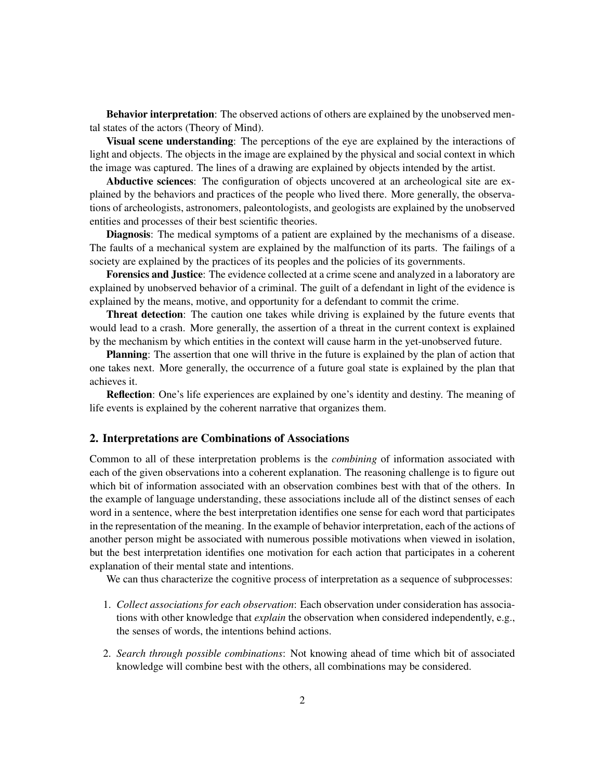Behavior interpretation: The observed actions of others are explained by the unobserved mental states of the actors (Theory of Mind).

Visual scene understanding: The perceptions of the eye are explained by the interactions of light and objects. The objects in the image are explained by the physical and social context in which the image was captured. The lines of a drawing are explained by objects intended by the artist.

Abductive sciences: The configuration of objects uncovered at an archeological site are explained by the behaviors and practices of the people who lived there. More generally, the observations of archeologists, astronomers, paleontologists, and geologists are explained by the unobserved entities and processes of their best scientific theories.

Diagnosis: The medical symptoms of a patient are explained by the mechanisms of a disease. The faults of a mechanical system are explained by the malfunction of its parts. The failings of a society are explained by the practices of its peoples and the policies of its governments.

Forensics and Justice: The evidence collected at a crime scene and analyzed in a laboratory are explained by unobserved behavior of a criminal. The guilt of a defendant in light of the evidence is explained by the means, motive, and opportunity for a defendant to commit the crime.

Threat detection: The caution one takes while driving is explained by the future events that would lead to a crash. More generally, the assertion of a threat in the current context is explained by the mechanism by which entities in the context will cause harm in the yet-unobserved future.

Planning: The assertion that one will thrive in the future is explained by the plan of action that one takes next. More generally, the occurrence of a future goal state is explained by the plan that achieves it.

Reflection: One's life experiences are explained by one's identity and destiny. The meaning of life events is explained by the coherent narrative that organizes them.

#### 2. Interpretations are Combinations of Associations

Common to all of these interpretation problems is the *combining* of information associated with each of the given observations into a coherent explanation. The reasoning challenge is to figure out which bit of information associated with an observation combines best with that of the others. In the example of language understanding, these associations include all of the distinct senses of each word in a sentence, where the best interpretation identifies one sense for each word that participates in the representation of the meaning. In the example of behavior interpretation, each of the actions of another person might be associated with numerous possible motivations when viewed in isolation, but the best interpretation identifies one motivation for each action that participates in a coherent explanation of their mental state and intentions.

We can thus characterize the cognitive process of interpretation as a sequence of subprocesses:

- 1. *Collect associations for each observation*: Each observation under consideration has associations with other knowledge that *explain* the observation when considered independently, e.g., the senses of words, the intentions behind actions.
- 2. *Search through possible combinations*: Not knowing ahead of time which bit of associated knowledge will combine best with the others, all combinations may be considered.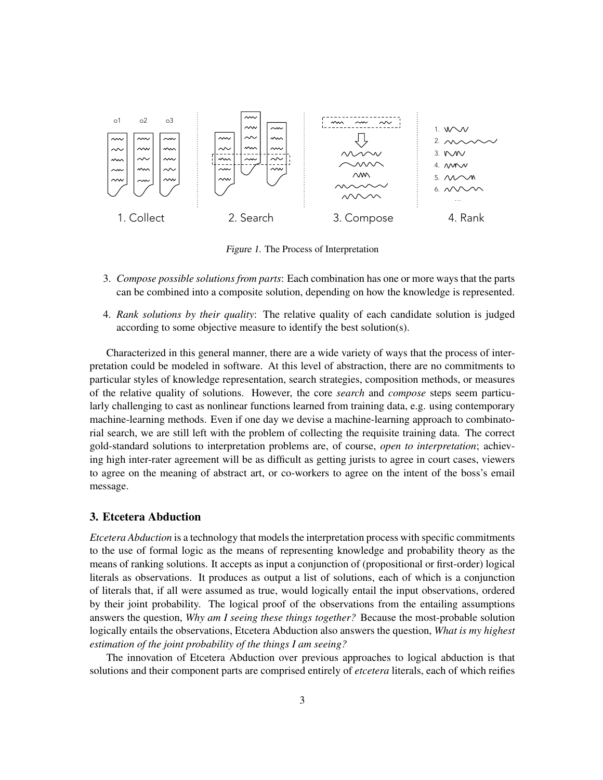

Figure 1. The Process of Interpretation

- 3. *Compose possible solutions from parts*: Each combination has one or more ways that the parts can be combined into a composite solution, depending on how the knowledge is represented.
- 4. *Rank solutions by their quality*: The relative quality of each candidate solution is judged according to some objective measure to identify the best solution(s).

Characterized in this general manner, there are a wide variety of ways that the process of interpretation could be modeled in software. At this level of abstraction, there are no commitments to particular styles of knowledge representation, search strategies, composition methods, or measures of the relative quality of solutions. However, the core *search* and *compose* steps seem particularly challenging to cast as nonlinear functions learned from training data, e.g. using contemporary machine-learning methods. Even if one day we devise a machine-learning approach to combinatorial search, we are still left with the problem of collecting the requisite training data. The correct gold-standard solutions to interpretation problems are, of course, *open to interpretation*; achieving high inter-rater agreement will be as difficult as getting jurists to agree in court cases, viewers to agree on the meaning of abstract art, or co-workers to agree on the intent of the boss's email message.

#### 3. Etcetera Abduction

*Etcetera Abduction* is a technology that models the interpretation process with specific commitments to the use of formal logic as the means of representing knowledge and probability theory as the means of ranking solutions. It accepts as input a conjunction of (propositional or first-order) logical literals as observations. It produces as output a list of solutions, each of which is a conjunction of literals that, if all were assumed as true, would logically entail the input observations, ordered by their joint probability. The logical proof of the observations from the entailing assumptions answers the question, *Why am I seeing these things together?* Because the most-probable solution logically entails the observations, Etcetera Abduction also answers the question, *What is my highest estimation of the joint probability of the things I am seeing?*

The innovation of Etcetera Abduction over previous approaches to logical abduction is that solutions and their component parts are comprised entirely of *etcetera* literals, each of which reifies